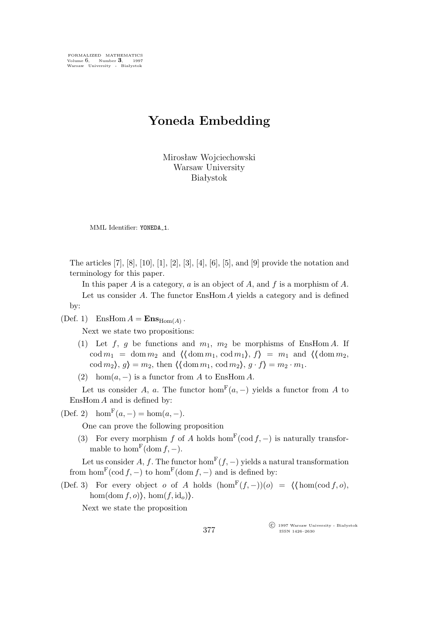FORMALIZED MATHEMATICS Volume 6, Number **3**, 1997 Warsaw University - Białystok

## **Yoneda Embedding**

Mirosław Wojciechowski Warsaw University Białystok

MML Identifier: YONEDA\_1.

The articles [7], [8], [10], [1], [2], [3], [4], [6], [5], and [9] provide the notation and terminology for this paper.

In this paper A is a category,  $a$  is an object of A, and  $f$  is a morphism of A. Let us consider A. The functor EnsHom A yields a category and is defined by:

(Def. 1) EnsHom  $A = \mathbf{Ens}_{\text{Hom}(A)}$ .

Next we state two propositions:

- (1) Let f, g be functions and  $m_1$ ,  $m_2$  be morphisms of EnsHom A. If  $\cot m_1 = \mathrm{dom} \, m_2$  and  $\langle \mathrm{dom} \, m_1, \mathrm{cod} \, m_1 \rangle, f \rangle = m_1$  and  $\langle \mathrm{dom} \, m_2, \mathrm{cod} \, m_1 \rangle$  $\c{cod } m_2$ ,  $g$  =  $m_2$ , then  $\langle \text{dom } m_1, \text{cod } m_2 \rangle, g \cdot f \rangle = m_2 \cdot m_1$ .
- (2) hom $(a, -)$  is a functor from A to EnsHom A.

Let us consider A, a. The functor  $hom<sup>F</sup>(a, -)$  yields a functor from A to EnsHom  $A$  and is defined by:

(Def. 2) hom<sup>F</sup>( $a, -$ ) = hom( $a, -$ ).

One can prove the following proposition

(3) For every morphism f of A holds hom<sup>F</sup>(cod f, -) is naturally transformable to hom<sup>F</sup>(dom  $f, -$ ).

Let us consider A, f. The functor  $hom<sup>F</sup>(f, -)$  yields a natural transformation from  $\hom^{\mathrm{F}}(\mathrm{cod } f, -)$  to  $\hom^{\mathrm{F}}(\mathrm{dom } f, -)$  and is defined by:

(Def. 3) For every object *o* of A holds  $(\text{hom}^F(f, -))(o) = \langle \text{hom}(\text{cod } f, o), \rangle$ hom(dom  $f, o$ ), hom( $f$ , id<sub>o</sub>)).

Next we state the proposition

°c 1997 Warsaw University - Białystok ISSN 1426–2630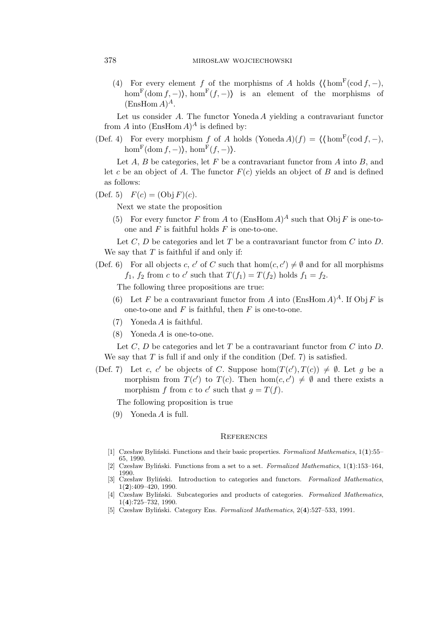(4) For every element f of the morphisms of A holds  $\langle \text{hom}^{\mathbb{F}}(\text{cod } f, -), \rangle$ hom<sup>F</sup>(dom f, -), hom<sup>F</sup>(f, -)) is an element of the morphisms of  $(EnsHom A)^A$ .

Let us consider  $A$ . The functor Yoneda  $A$  yielding a contravariant functor from A into  $(EnsHom A)^A$  is defined by:

(Def. 4) For every morphism f of A holds (Yoneda A)(f) =  $\langle \text{hom}^{\mathbb{F}}(\text{cod } f, -), \rangle$  $\hom^{\mathbf{F}}(\mathrm{dom}\, f,-)$ ,  $\hom^{\mathbf{F}}(f,-)$ .

Let  $A, B$  be categories, let  $F$  be a contravariant functor from  $A$  into  $B$ , and let c be an object of A. The functor  $F(c)$  yields an object of B and is defined as follows:

(Def. 5)  $F(c) = (\text{Obj } F)(c)$ .

Next we state the proposition

(5) For every functor F from A to  $(EnsHom A)^A$  such that  $Obj F$  is one-toone and  $F$  is faithful holds  $F$  is one-to-one.

Let  $C, D$  be categories and let  $T$  be a contravariant functor from  $C$  into  $D$ . We say that  $T$  is faithful if and only if:

(Def. 6) For all objects c, c' of C such that  $hom(c, c') \neq \emptyset$  and for all morphisms  $f_1$ ,  $f_2$  from c to c' such that  $T(f_1) = T(f_2)$  holds  $f_1 = f_2$ .

The following three propositions are true:

- (6) Let F be a contravariant functor from A into  $(\text{EnsHom }A)^A$ . If  $\text{Obj }F$  is one-to-one and  $F$  is faithful, then  $F$  is one-to-one.
- (7) Yoneda A is faithful.
- (8) Yoneda A is one-to-one.

Let C, D be categories and let T be a contravariant functor from C into D. We say that  $T$  is full if and only if the condition (Def. 7) is satisfied.

(Def. 7) Let c, c' be objects of C. Suppose hom $(T(c'), T(c)) \neq \emptyset$ . Let g be a morphism from  $T(c')$  to  $T(c)$ . Then hom $(c, c') \neq \emptyset$  and there exists a morphism f from c to c' such that  $g = T(f)$ .

The following proposition is true

(9) Yoneda A is full.

## **REFERENCES**

- [1] Czesław Byliński. Functions and their basic properties. *Formalized Mathematics*, 1(**1**):55– 65, 1990.
- [2] Czesław Byliński. Functions from a set to a set. *Formalized Mathematics*, 1(**1**):153–164, 1990.
- [3] Czesław Byliński. Introduction to categories and functors. *Formalized Mathematics*, 1(**2**):409–420, 1990.
- [4] Czesław Byliński. Subcategories and products of categories. *Formalized Mathematics*, 1(**4**):725–732, 1990.
- [5] Czesław Byliński. Category Ens. *Formalized Mathematics*, 2(**4**):527–533, 1991.